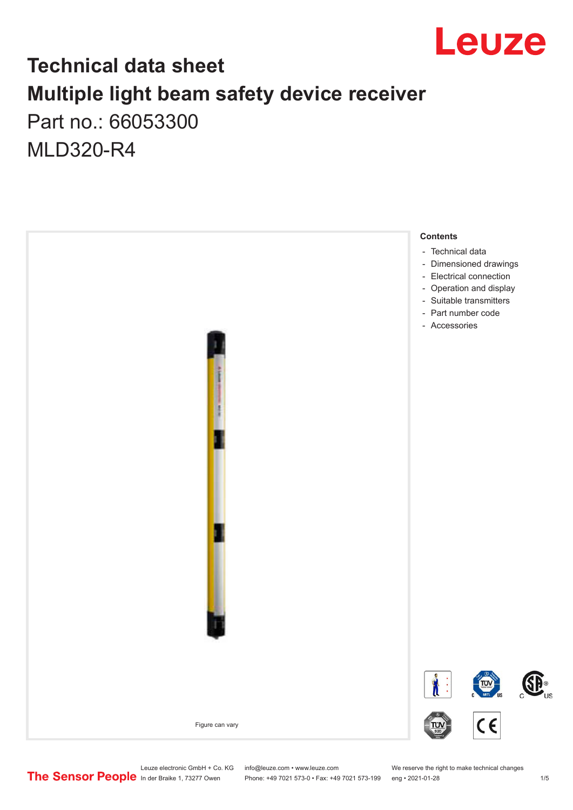

### **Technical data sheet Multiple light beam safety device receiver** Part no.: 66053300

MLD320-R4



Phone: +49 7021 573-0 • Fax: +49 7021 573-199 eng • 2021-01-28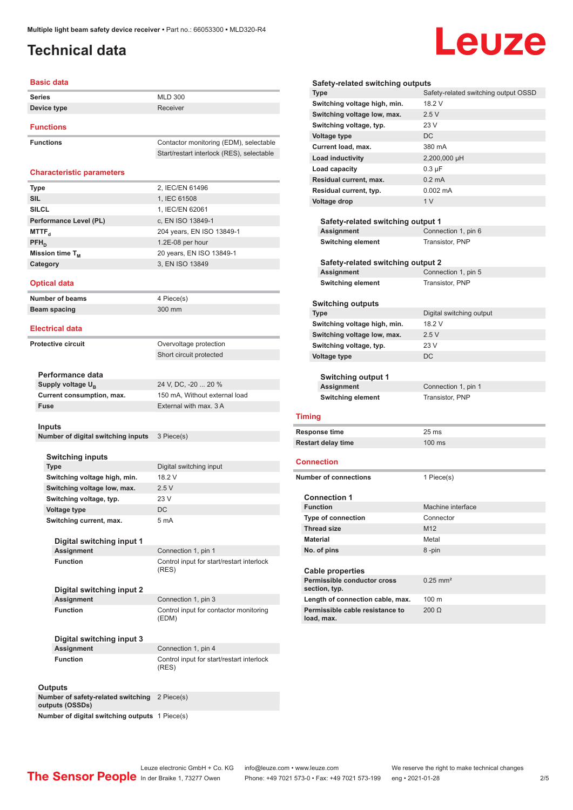### <span id="page-1-0"></span>**Technical data**

# Leuze

| <b>Basic data</b>                              |                                                    |  |
|------------------------------------------------|----------------------------------------------------|--|
| <b>Series</b>                                  | <b>MLD 300</b>                                     |  |
| Device type                                    | Receiver                                           |  |
|                                                |                                                    |  |
| <b>Functions</b>                               |                                                    |  |
| <b>Functions</b>                               | Contactor monitoring (EDM), selectable             |  |
|                                                | Start/restart interlock (RES), selectable          |  |
|                                                |                                                    |  |
| <b>Characteristic parameters</b>               |                                                    |  |
| <b>Type</b>                                    | 2, IEC/EN 61496                                    |  |
| <b>SIL</b>                                     | 1, IEC 61508                                       |  |
| <b>SILCL</b>                                   | 1. IEC/EN 62061                                    |  |
| Performance Level (PL)                         | c, EN ISO 13849-1                                  |  |
| <b>MTTF</b> <sub>d</sub>                       | 204 years, EN ISO 13849-1                          |  |
| $PFH_{D}$<br>Mission time T <sub>M</sub>       | 1.2E-08 per hour<br>20 years, EN ISO 13849-1       |  |
| Category                                       | 3, EN ISO 13849                                    |  |
|                                                |                                                    |  |
| <b>Optical data</b>                            |                                                    |  |
| <b>Number of beams</b>                         | 4 Piece(s)                                         |  |
| Beam spacing                                   | 300 mm                                             |  |
|                                                |                                                    |  |
| <b>Electrical data</b>                         |                                                    |  |
| <b>Protective circuit</b>                      | Overvoltage protection                             |  |
|                                                | Short circuit protected                            |  |
|                                                |                                                    |  |
| Performance data                               |                                                    |  |
| Supply voltage U <sub>R</sub>                  | 24 V, DC, -20  20 %                                |  |
| Current consumption, max.                      | 150 mA, Without external load                      |  |
| Fuse                                           | External with max. 3 A                             |  |
| Inputs                                         |                                                    |  |
| Number of digital switching inputs             | 3 Piece(s)                                         |  |
|                                                |                                                    |  |
| Switching inputs                               |                                                    |  |
| <b>Type</b>                                    | Digital switching input                            |  |
| Switching voltage high, min.                   | 18.2 V                                             |  |
| Switching voltage low, max.                    | 2.5V                                               |  |
| Switching voltage, typ.                        | 23 V                                               |  |
| Voltage type                                   | DC                                                 |  |
| Switching current, max.                        | 5 mA                                               |  |
| Digital switching input 1                      |                                                    |  |
| <b>Assignment</b>                              | Connection 1, pin 1                                |  |
| <b>Function</b>                                | Control input for start/restart interlock          |  |
|                                                | (RES)                                              |  |
|                                                |                                                    |  |
| Digital switching input 2<br><b>Assignment</b> | Connection 1, pin 3                                |  |
| <b>Function</b>                                | Control input for contactor monitoring             |  |
|                                                | (EDM)                                              |  |
|                                                |                                                    |  |
| Digital switching input 3                      |                                                    |  |
| <b>Assignment</b>                              | Connection 1, pin 4                                |  |
| <b>Function</b>                                | Control input for start/restart interlock<br>(RES) |  |
|                                                |                                                    |  |
| <b>Outputs</b>                                 |                                                    |  |

|                     | Safety-related switching outputs                                    |                                      |  |  |
|---------------------|---------------------------------------------------------------------|--------------------------------------|--|--|
|                     | <b>Type</b>                                                         | Safety-related switching output OSSD |  |  |
|                     | Switching voltage high, min.                                        | 18.2 V                               |  |  |
|                     | Switching voltage low, max.                                         | 2.5V                                 |  |  |
|                     | Switching voltage, typ.                                             | 23 V                                 |  |  |
|                     | <b>Voltage type</b>                                                 | DC                                   |  |  |
|                     | Current load, max.                                                  | 380 mA                               |  |  |
|                     | Load inductivity                                                    | 2,200,000 µH                         |  |  |
|                     | Load capacity                                                       | $0.3 \mu F$                          |  |  |
|                     | Residual current, max.                                              | $0.2 \text{ mA}$                     |  |  |
|                     | Residual current, typ.                                              | $0.002 \, \text{mA}$                 |  |  |
|                     | Voltage drop                                                        | 1 <sub>V</sub>                       |  |  |
|                     |                                                                     |                                      |  |  |
|                     | Safety-related switching output 1                                   |                                      |  |  |
|                     | Assignment                                                          | Connection 1, pin 6                  |  |  |
|                     | <b>Switching element</b>                                            | Transistor, PNP                      |  |  |
|                     |                                                                     |                                      |  |  |
|                     | Safety-related switching output 2<br><b>Assignment</b>              | Connection 1, pin 5                  |  |  |
|                     | <b>Switching element</b>                                            | Transistor, PNP                      |  |  |
|                     |                                                                     |                                      |  |  |
|                     | <b>Switching outputs</b>                                            |                                      |  |  |
|                     | <b>Type</b>                                                         | Digital switching output             |  |  |
|                     | Switching voltage high, min.                                        | 18.2 V                               |  |  |
|                     | Switching voltage low, max.                                         | 2.5V                                 |  |  |
|                     | Switching voltage, typ.                                             | 23 V                                 |  |  |
| <b>Voltage type</b> |                                                                     | DC                                   |  |  |
|                     |                                                                     |                                      |  |  |
|                     | <b>Switching output 1</b>                                           |                                      |  |  |
|                     | Assignment                                                          | Connection 1, pin 1                  |  |  |
|                     | <b>Switching element</b>                                            | Transistor, PNP                      |  |  |
|                     | <b>Timing</b>                                                       |                                      |  |  |
|                     |                                                                     |                                      |  |  |
|                     | Response time                                                       | 25 <sub>ms</sub>                     |  |  |
|                     | <b>Restart delay time</b>                                           | $100 \text{ ms}$                     |  |  |
|                     | Connection                                                          |                                      |  |  |
|                     | <b>Number of connections</b>                                        |                                      |  |  |
|                     |                                                                     | 1 Piece(s)                           |  |  |
|                     | <b>Connection 1</b>                                                 |                                      |  |  |
|                     | <b>Function</b>                                                     | Machine interface                    |  |  |
|                     | Type of connection                                                  | Connector                            |  |  |
|                     | <b>Thread size</b>                                                  | M <sub>12</sub>                      |  |  |
|                     | <b>Material</b>                                                     | Metal                                |  |  |
|                     | No. of pins                                                         | 8-pin                                |  |  |
|                     |                                                                     |                                      |  |  |
|                     | <b>Cable properties</b>                                             |                                      |  |  |
|                     | Permissible conductor cross                                         | $0.25$ mm <sup>2</sup>               |  |  |
|                     | section, typ.                                                       |                                      |  |  |
|                     | Length of connection cable, max.<br>Permissible cable resistance to | 100 m                                |  |  |
|                     | load, max.                                                          | $200 \Omega$                         |  |  |
|                     |                                                                     |                                      |  |  |

**Number of safety-related switching**  2 Piece(s) **outputs (OSSDs)**

**Number of digital switching outputs** 1 Piece(s)

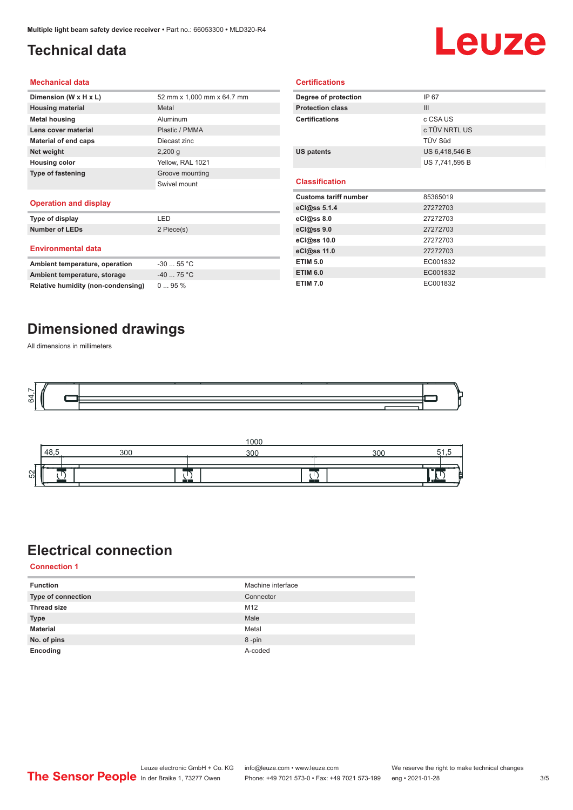### <span id="page-2-0"></span>**Technical data**

# Leuze

#### **Mechanical data**

| Dimension (W x H x L)       | 52 mm x 1.000 mm x 64.7 mm |
|-----------------------------|----------------------------|
| <b>Housing material</b>     | Metal                      |
| <b>Metal housing</b>        | Aluminum                   |
| Lens cover material         | Plastic / PMMA             |
| <b>Material of end caps</b> | Diecast zinc               |
| Net weight                  | $2,200$ q                  |
| <b>Housing color</b>        | Yellow, RAL 1021           |
| <b>Type of fastening</b>    | Groove mounting            |
|                             | Swivel mount               |
| Operation and dieplay       |                            |

#### **Operation and display**

| Type of display                | I FD       |
|--------------------------------|------------|
| <b>Number of LEDs</b>          | 2 Piece(s) |
| <b>Environmental data</b>      |            |
| Ambient temperature, operation | $-3055$ °C |
| Ambient temperature, storage   | $-4075 °C$ |

| Degree of protection         | IP 67          |
|------------------------------|----------------|
| <b>Protection class</b>      | III            |
| <b>Certifications</b>        | c CSA US       |
|                              | c TÜV NRTL US  |
|                              | TÜV Süd        |
| <b>US patents</b>            | US 6,418,546 B |
|                              | US 7,741,595 B |
|                              |                |
|                              |                |
| <b>Classification</b>        |                |
| <b>Customs tariff number</b> | 85365019       |
| eCl@ss 5.1.4                 | 27272703       |
| eCl@ss 8.0                   | 27272703       |
| eCl@ss 9.0                   | 27272703       |
| eCl@ss 10.0                  | 27272703       |
| eCl@ss 11.0                  | 27272703       |
| <b>ETIM 5.0</b>              | EC001832       |
| <b>ETIM 6.0</b>              | EC001832       |

**Certifications**

#### **Dimensioned drawings**

**Relative humidity (non-condensing)** 0 ... 95 %

All dimensions in millimeters





#### **Electrical connection**

**Connection 1**

| <b>Function</b>           | Machine interface |
|---------------------------|-------------------|
| <b>Type of connection</b> | Connector         |
| <b>Thread size</b>        | M12               |
| <b>Type</b>               | Male              |
| <b>Material</b>           | Metal             |
| No. of pins               | 8-pin             |
| Encoding                  | A-coded           |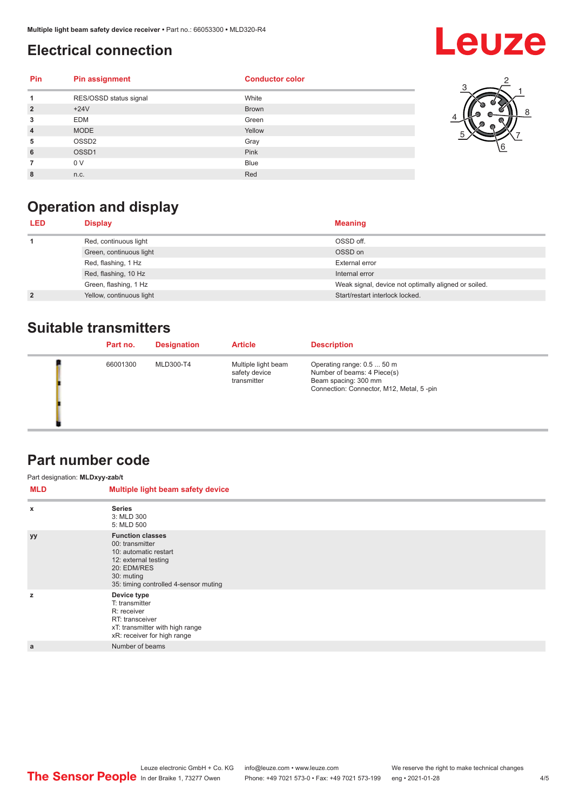#### <span id="page-3-0"></span>**Electrical connection**

## **Leuze**

| Pin            | <b>Pin assignment</b>  | <b>Conductor color</b> |
|----------------|------------------------|------------------------|
| 1              | RES/OSSD status signal | White                  |
| $\overline{2}$ | $+24V$                 | <b>Brown</b>           |
| 3              | <b>EDM</b>             | Green                  |
| $\overline{4}$ | <b>MODE</b>            | Yellow                 |
| 5              | OSSD <sub>2</sub>      | Gray                   |
| 6              | OSSD <sub>1</sub>      | Pink                   |
| 7              | 0 V                    | <b>Blue</b>            |
| 8              | n.c.                   | Red                    |



### **Operation and display**

| <b>Meaning</b><br><b>Display</b><br><b>LED</b> |                                                      |
|------------------------------------------------|------------------------------------------------------|
| OSSD off.<br>Red, continuous light             |                                                      |
| OSSD on<br>Green, continuous light             |                                                      |
| Red, flashing, 1 Hz                            | External error                                       |
| Red, flashing, 10 Hz                           | Internal error                                       |
| Green, flashing, 1 Hz                          | Weak signal, device not optimally aligned or soiled. |
| Yellow, continuous light<br>$\overline{2}$     | Start/restart interlock locked.                      |

#### **Suitable transmitters**

| Part no. | <b>Designation</b> | <b>Article</b>                                      | <b>Description</b>                                                                                                            |
|----------|--------------------|-----------------------------------------------------|-------------------------------------------------------------------------------------------------------------------------------|
| 66001300 | MLD300-T4          | Multiple light beam<br>safety device<br>transmitter | Operating range: 0.5  50 m<br>Number of beams: 4 Piece(s)<br>Beam spacing: 300 mm<br>Connection: Connector, M12, Metal, 5-pin |

#### **Part number code**

| Part designation: MLDxyy-zab/t |                                                                                                                                                                   |
|--------------------------------|-------------------------------------------------------------------------------------------------------------------------------------------------------------------|
| MLD                            | Multiple light beam safety device                                                                                                                                 |
| $\boldsymbol{\mathsf{x}}$      | <b>Series</b><br>3: MLD 300<br>5: MLD 500                                                                                                                         |
| <b>yy</b>                      | <b>Function classes</b><br>00: transmitter<br>10: automatic restart<br>12: external testing<br>20: EDM/RES<br>30: muting<br>35: timing controlled 4-sensor muting |
| z                              | Device type<br>T: transmitter<br>R: receiver<br>RT: transceiver<br>xT: transmitter with high range<br>xR: receiver for high range                                 |
| a                              | Number of beams                                                                                                                                                   |